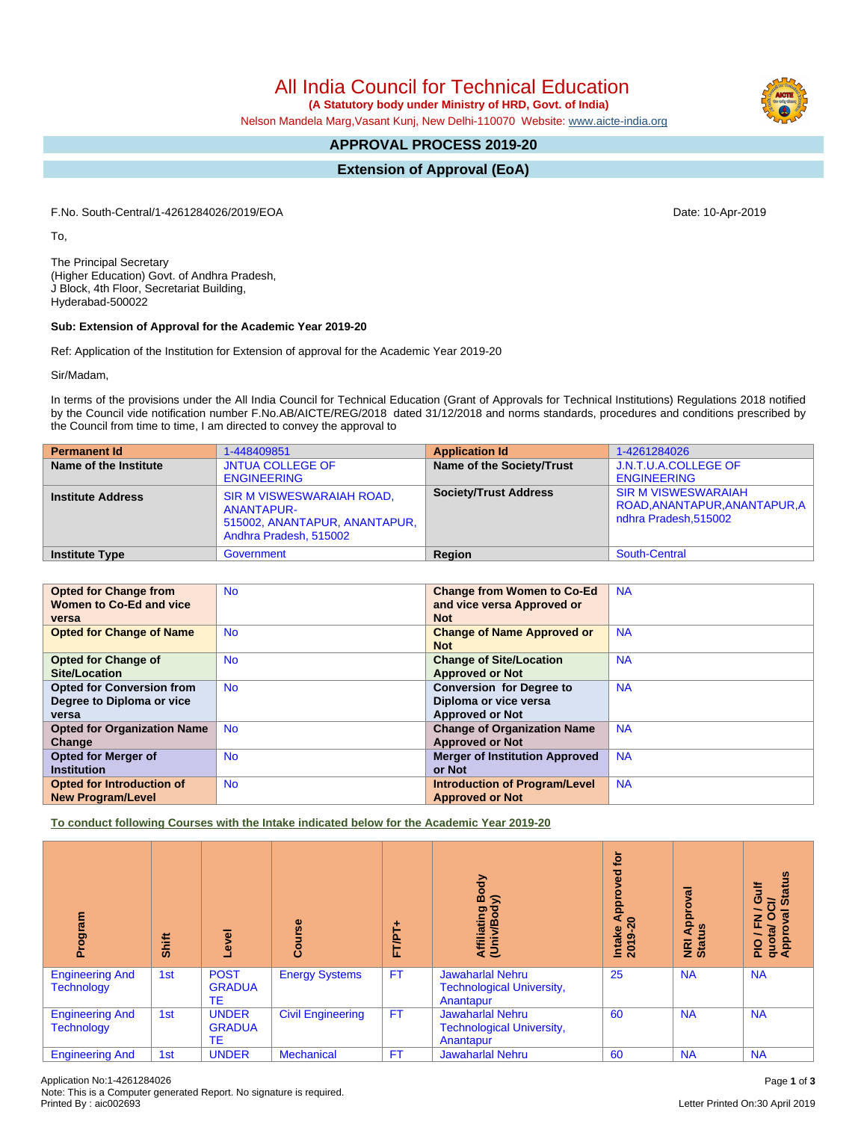All India Council for Technical Education

 **(A Statutory body under Ministry of HRD, Govt. of India)**

Nelson Mandela Marg,Vasant Kunj, New Delhi-110070 Website: [www.aicte-india.org](http://www.aicte-india.org)

## **APPROVAL PROCESS 2019-20**

**Extension of Approval (EoA)**

F.No. South-Central/1-4261284026/2019/EOA Date: 10-Apr-2019

To,

The Principal Secretary (Higher Education) Govt. of Andhra Pradesh, J Block, 4th Floor, Secretariat Building, Hyderabad-500022

## **Sub: Extension of Approval for the Academic Year 2019-20**

Ref: Application of the Institution for Extension of approval for the Academic Year 2019-20

Sir/Madam,

In terms of the provisions under the All India Council for Technical Education (Grant of Approvals for Technical Institutions) Regulations 2018 notified by the Council vide notification number F.No.AB/AICTE/REG/2018 dated 31/12/2018 and norms standards, procedures and conditions prescribed by the Council from time to time, I am directed to convey the approval to

| <b>Permanent Id</b>      | 1-448409851                                                                                                      | <b>Application Id</b>        | 1-4261284026                                                                         |
|--------------------------|------------------------------------------------------------------------------------------------------------------|------------------------------|--------------------------------------------------------------------------------------|
| Name of the Institute    | <b>JNTUA COLLEGE OF</b><br><b>ENGINEERING</b>                                                                    | Name of the Society/Trust    | J.N.T.U.A.COLLEGE OF<br><b>ENGINEERING</b>                                           |
| <b>Institute Address</b> | <b>SIR M VISWESWARAIAH ROAD,</b><br><b>ANANTAPUR-</b><br>515002, ANANTAPUR, ANANTAPUR,<br>Andhra Pradesh, 515002 | <b>Society/Trust Address</b> | <b>SIR M VISWESWARAIAH</b><br>ROAD, ANANTAPUR, ANANTAPUR, A<br>ndhra Pradesh, 515002 |
| <b>Institute Type</b>    | Government                                                                                                       | Region                       | South-Central                                                                        |

| <b>Opted for Change from</b>       | <b>No</b> | <b>Change from Women to Co-Ed</b>     | <b>NA</b> |
|------------------------------------|-----------|---------------------------------------|-----------|
| Women to Co-Ed and vice            |           | and vice versa Approved or            |           |
| versa                              |           | <b>Not</b>                            |           |
| <b>Opted for Change of Name</b>    | <b>No</b> | <b>Change of Name Approved or</b>     | <b>NA</b> |
|                                    |           | <b>Not</b>                            |           |
| <b>Opted for Change of</b>         | <b>No</b> | <b>Change of Site/Location</b>        | <b>NA</b> |
| Site/Location                      |           | <b>Approved or Not</b>                |           |
| <b>Opted for Conversion from</b>   | <b>No</b> | <b>Conversion for Degree to</b>       | <b>NA</b> |
| Degree to Diploma or vice          |           | Diploma or vice versa                 |           |
| versa                              |           | <b>Approved or Not</b>                |           |
| <b>Opted for Organization Name</b> | <b>No</b> | <b>Change of Organization Name</b>    | <b>NA</b> |
| Change                             |           | <b>Approved or Not</b>                |           |
| <b>Opted for Merger of</b>         | <b>No</b> | <b>Merger of Institution Approved</b> | <b>NA</b> |
| <b>Institution</b>                 |           | or Not                                |           |
| Opted for Introduction of          | <b>No</b> | <b>Introduction of Program/Level</b>  | <b>NA</b> |
| <b>New Program/Level</b>           |           | <b>Approved or Not</b>                |           |

**To conduct following Courses with the Intake indicated below for the Academic Year 2019-20**

| mediou<br>ā                                 | Shift | Level                                     | Course                   | ÷<br><b>FT/PT</b> | Body<br>$\widehat{\phantom{a}}$<br>Affiliating<br>(Univ/Bod <sub>)</sub> | tor<br>$\overline{8}$<br>۰<br>Intake Appro<br>2019-20 | roval<br>Appr<br>9ű<br>NRI<br>Statu | <b>Status</b><br>₹<br>O<br>$\vec{c}$<br>∽<br>g<br>$\circ$<br>준<br>quota/<br>Approv<br>∽<br><b>DId</b> |
|---------------------------------------------|-------|-------------------------------------------|--------------------------|-------------------|--------------------------------------------------------------------------|-------------------------------------------------------|-------------------------------------|-------------------------------------------------------------------------------------------------------|
| <b>Engineering And</b><br><b>Technology</b> | 1st   | <b>POST</b><br><b>GRADUA</b><br><b>TE</b> | <b>Energy Systems</b>    | <b>FT</b>         | <b>Jawaharlal Nehru</b><br><b>Technological University,</b><br>Anantapur | 25                                                    | <b>NA</b>                           | <b>NA</b>                                                                                             |
| <b>Engineering And</b><br><b>Technology</b> | 1st   | <b>UNDER</b><br><b>GRADUA</b><br>TE       | <b>Civil Engineering</b> | <b>FT</b>         | <b>Jawaharlal Nehru</b><br><b>Technological University,</b><br>Anantapur | 60                                                    | <b>NA</b>                           | <b>NA</b>                                                                                             |
| <b>Engineering And</b>                      | 1st   | <b>UNDER</b>                              | <b>Mechanical</b>        | <b>FT</b>         | <b>Jawaharlal Nehru</b>                                                  | 60                                                    | <b>NA</b>                           | <b>NA</b>                                                                                             |

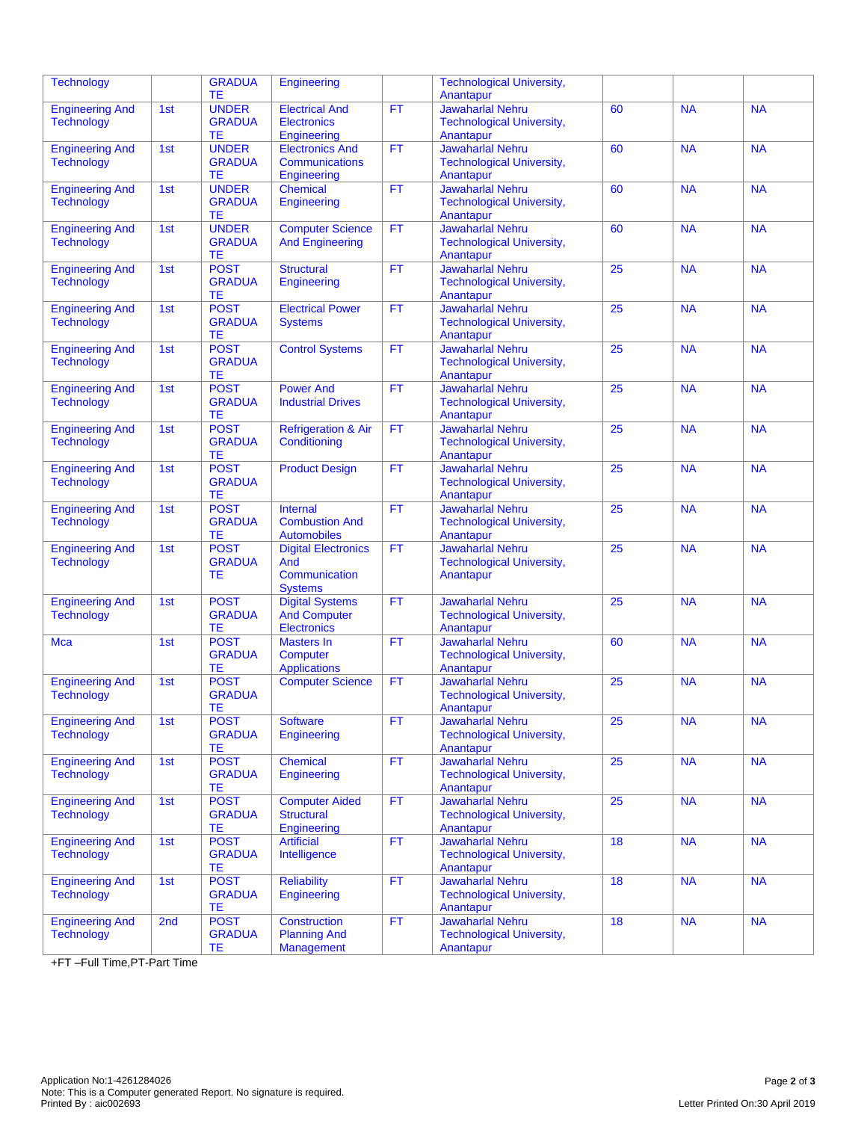| <b>Technology</b>      |     | <b>GRADUA</b><br>TЕ | Engineering                    |           | <b>Technological University,</b><br>Anantapur |                 |           |           |
|------------------------|-----|---------------------|--------------------------------|-----------|-----------------------------------------------|-----------------|-----------|-----------|
| <b>Engineering And</b> | 1st | <b>UNDER</b>        | <b>Electrical And</b>          | <b>FT</b> | <b>Jawaharlal Nehru</b>                       | 60              | <b>NA</b> | <b>NA</b> |
| <b>Technology</b>      |     | <b>GRADUA</b>       | <b>Electronics</b>             |           |                                               |                 |           |           |
|                        |     |                     |                                |           | <b>Technological University,</b>              |                 |           |           |
|                        |     | <b>TE</b>           | Engineering                    |           | Anantapur                                     |                 |           |           |
| <b>Engineering And</b> | 1st | <b>UNDER</b>        | <b>Electronics And</b>         | <b>FT</b> | <b>Jawaharlal Nehru</b>                       | 60              | <b>NA</b> | <b>NA</b> |
| <b>Technology</b>      |     | <b>GRADUA</b>       | <b>Communications</b>          |           | <b>Technological University,</b>              |                 |           |           |
|                        |     | ТE                  | Engineering                    |           | Anantapur                                     |                 |           |           |
| <b>Engineering And</b> | 1st | <b>UNDER</b>        | Chemical                       | <b>FT</b> | <b>Jawaharlal Nehru</b>                       | 60              | <b>NA</b> | <b>NA</b> |
| <b>Technology</b>      |     | <b>GRADUA</b>       | Engineering                    |           | <b>Technological University,</b>              |                 |           |           |
|                        |     | <b>TE</b>           |                                |           | Anantapur                                     |                 |           |           |
|                        | 1st | <b>UNDER</b>        |                                | <b>FT</b> | <b>Jawaharlal Nehru</b>                       | 60              | <b>NA</b> | <b>NA</b> |
| <b>Engineering And</b> |     |                     | <b>Computer Science</b>        |           |                                               |                 |           |           |
| <b>Technology</b>      |     | <b>GRADUA</b>       | <b>And Engineering</b>         |           | <b>Technological University,</b>              |                 |           |           |
|                        |     | TЕ                  |                                |           | Anantapur                                     |                 |           |           |
| <b>Engineering And</b> | 1st | <b>POST</b>         | <b>Structural</b>              | <b>FT</b> | <b>Jawaharlal Nehru</b>                       | 25              | <b>NA</b> | <b>NA</b> |
| <b>Technology</b>      |     | <b>GRADUA</b>       | Engineering                    |           | <b>Technological University,</b>              |                 |           |           |
|                        |     | TЕ                  |                                |           | Anantapur                                     |                 |           |           |
| <b>Engineering And</b> | 1st | <b>POST</b>         | <b>Electrical Power</b>        | <b>FT</b> | <b>Jawaharlal Nehru</b>                       | $\overline{25}$ | <b>NA</b> | <b>NA</b> |
| <b>Technology</b>      |     | <b>GRADUA</b>       | <b>Systems</b>                 |           | <b>Technological University,</b>              |                 |           |           |
|                        |     |                     |                                |           |                                               |                 |           |           |
|                        |     | <b>TE</b>           |                                |           | Anantapur                                     |                 |           |           |
| <b>Engineering And</b> | 1st | <b>POST</b>         | <b>Control Systems</b>         | <b>FT</b> | <b>Jawaharlal Nehru</b>                       | 25              | <b>NA</b> | <b>NA</b> |
| <b>Technology</b>      |     | <b>GRADUA</b>       |                                |           | <b>Technological University,</b>              |                 |           |           |
|                        |     | <b>TE</b>           |                                |           | Anantapur                                     |                 |           |           |
| <b>Engineering And</b> | 1st | <b>POST</b>         | <b>Power And</b>               | <b>FT</b> | <b>Jawaharlal Nehru</b>                       | 25              | <b>NA</b> | <b>NA</b> |
| <b>Technology</b>      |     | <b>GRADUA</b>       | <b>Industrial Drives</b>       |           | <b>Technological University,</b>              |                 |           |           |
|                        |     | ТE                  |                                |           | Anantapur                                     |                 |           |           |
|                        |     | <b>POST</b>         |                                | <b>FT</b> | <b>Jawaharlal Nehru</b>                       | $\overline{25}$ | <b>NA</b> | <b>NA</b> |
| <b>Engineering And</b> | 1st |                     | <b>Refrigeration &amp; Air</b> |           |                                               |                 |           |           |
| <b>Technology</b>      |     | <b>GRADUA</b>       | Conditioning                   |           | <b>Technological University,</b>              |                 |           |           |
|                        |     | <b>TE</b>           |                                |           | Anantapur                                     |                 |           |           |
| <b>Engineering And</b> | 1st | <b>POST</b>         | <b>Product Design</b>          | <b>FT</b> | <b>Jawaharlal Nehru</b>                       | 25              | <b>NA</b> | <b>NA</b> |
| <b>Technology</b>      |     | <b>GRADUA</b>       |                                |           | <b>Technological University,</b>              |                 |           |           |
|                        |     | TE                  |                                |           | Anantapur                                     |                 |           |           |
| <b>Engineering And</b> | 1st | <b>POST</b>         | Internal                       | <b>FT</b> | <b>Jawaharlal Nehru</b>                       | 25              | <b>NA</b> | <b>NA</b> |
| <b>Technology</b>      |     | <b>GRADUA</b>       | <b>Combustion And</b>          |           | <b>Technological University,</b>              |                 |           |           |
|                        |     |                     |                                |           |                                               |                 |           |           |
|                        |     | ТE                  | <b>Automobiles</b>             |           | Anantapur                                     |                 |           |           |
| <b>Engineering And</b> | 1st | <b>POST</b>         | <b>Digital Electronics</b>     | <b>FT</b> | <b>Jawaharlal Nehru</b>                       | 25              | <b>NA</b> | <b>NA</b> |
| <b>Technology</b>      |     | <b>GRADUA</b>       | And                            |           | <b>Technological University,</b>              |                 |           |           |
|                        |     | TE.                 | Communication                  |           | Anantapur                                     |                 |           |           |
|                        |     |                     | <b>Systems</b>                 |           |                                               |                 |           |           |
| <b>Engineering And</b> | 1st | <b>POST</b>         | <b>Digital Systems</b>         | <b>FT</b> | <b>Jawaharlal Nehru</b>                       | 25              | <b>NA</b> | <b>NA</b> |
| <b>Technology</b>      |     | <b>GRADUA</b>       | <b>And Computer</b>            |           | <b>Technological University,</b>              |                 |           |           |
|                        |     | ТE                  | Electronics                    |           | Anantapur                                     |                 |           |           |
| Mca                    | 1st | <b>POST</b>         | <b>Masters In</b>              | <b>FT</b> | <b>Jawaharlal Nehru</b>                       | 60              | <b>NA</b> | <b>NA</b> |
|                        |     |                     |                                |           |                                               |                 |           |           |
|                        |     | <b>GRADUA</b>       | Computer                       |           | <b>Technological University,</b>              |                 |           |           |
|                        |     | <b>TE</b>           | <b>Applications</b>            |           | Anantapur                                     |                 |           |           |
| <b>Engineering And</b> | 1st | <b>POST</b>         | <b>Computer Science</b>        | <b>FT</b> | <b>Jawaharlal Nehru</b>                       | 25              | <b>NA</b> | <b>NA</b> |
| <b>Technology</b>      |     | <b>GRADUA</b>       |                                |           | <b>Technological University,</b>              |                 |           |           |
|                        |     | ТE                  |                                |           | Anantapur                                     |                 |           |           |
| <b>Engineering And</b> | 1st | <b>POST</b>         | <b>Software</b>                | <b>FT</b> | <b>Jawaharlal Nehru</b>                       | 25              | <b>NA</b> | <b>NA</b> |
| <b>Technology</b>      |     | <b>GRADUA</b>       | Engineering                    |           | <b>Technological University,</b>              |                 |           |           |
|                        |     | ТE                  |                                |           | Anantapur                                     |                 |           |           |
| <b>Engineering And</b> | 1st | <b>POST</b>         | Chemical                       | <b>FT</b> | <b>Jawaharlal Nehru</b>                       | $\overline{25}$ | <b>NA</b> | <b>NA</b> |
|                        |     |                     |                                |           |                                               |                 |           |           |
| <b>Technology</b>      |     | <b>GRADUA</b>       | Engineering                    |           | <b>Technological University,</b>              |                 |           |           |
|                        |     | TE                  |                                |           | Anantapur                                     |                 |           |           |
| <b>Engineering And</b> | 1st | <b>POST</b>         | <b>Computer Aided</b>          | <b>FT</b> | Jawaharlal Nehru                              | 25              | <b>NA</b> | <b>NA</b> |
| <b>Technology</b>      |     | <b>GRADUA</b>       | <b>Structural</b>              |           | <b>Technological University,</b>              |                 |           |           |
|                        |     | TE                  | Engineering                    |           | Anantapur                                     |                 |           |           |
| <b>Engineering And</b> | 1st | <b>POST</b>         | <b>Artificial</b>              | FT        | <b>Jawaharlal Nehru</b>                       | 18              | <b>NA</b> | <b>NA</b> |
| <b>Technology</b>      |     | <b>GRADUA</b>       | Intelligence                   |           | <b>Technological University,</b>              |                 |           |           |
|                        |     | TЕ                  |                                |           | Anantapur                                     |                 |           |           |
|                        |     |                     |                                |           |                                               |                 |           |           |
| <b>Engineering And</b> | 1st | <b>POST</b>         | <b>Reliability</b>             | <b>FT</b> | <b>Jawaharlal Nehru</b>                       | 18              | <b>NA</b> | <b>NA</b> |
| <b>Technology</b>      |     | <b>GRADUA</b>       | Engineering                    |           | <b>Technological University,</b>              |                 |           |           |
|                        |     | TE                  |                                |           | Anantapur                                     |                 |           |           |
| <b>Engineering And</b> | 2nd | <b>POST</b>         | Construction                   | <b>FT</b> | <b>Jawaharlal Nehru</b>                       | 18              | <b>NA</b> | <b>NA</b> |
| <b>Technology</b>      |     | <b>GRADUA</b>       | <b>Planning And</b>            |           | <b>Technological University,</b>              |                 |           |           |
|                        |     | TE                  | Management                     |           | Anantapur                                     |                 |           |           |

+FT –Full Time,PT-Part Time